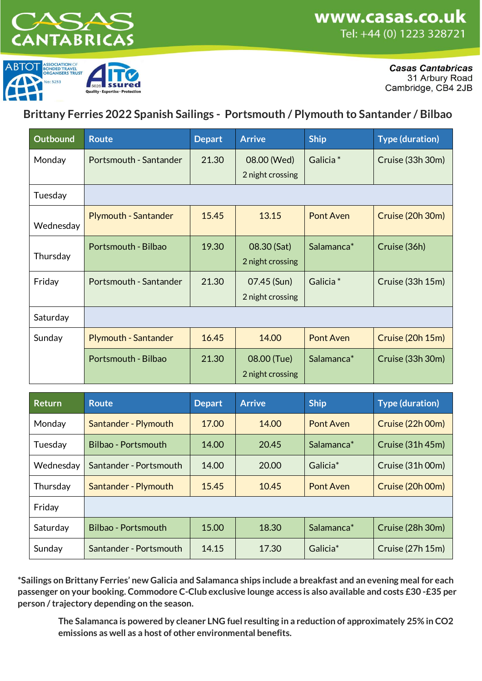



**Casas Cantabricas** 31 Arbury Road Cambridge, CB4 2JB

**Brittany Ferries 2022 Spanish Sailings - Portsmouth / Plymouth to Santander / Bilbao**

| <b>Outbound</b> | <b>Route</b>                | <b>Depart</b> | <b>Arrive</b>    | <b>Ship</b>          | <b>Type (duration)</b> |
|-----------------|-----------------------------|---------------|------------------|----------------------|------------------------|
| Monday          | Portsmouth - Santander      | 21.30         | 08.00 (Wed)      | Galicia <sup>*</sup> | Cruise (33h 30m)       |
|                 |                             |               | 2 night crossing |                      |                        |
| Tuesday         |                             |               |                  |                      |                        |
| Wednesday       | <b>Plymouth - Santander</b> | 15.45         | 13.15            | Pont Aven            | Cruise (20h 30m)       |
|                 | Portsmouth - Bilbao         | 19.30         | 08.30 (Sat)      | Salamanca*           | Cruise (36h)           |
| Thursday        |                             |               | 2 night crossing |                      |                        |
| Friday          | Portsmouth - Santander      | 21.30         | 07.45 (Sun)      | Galicia <sup>*</sup> | Cruise (33h 15m)       |
|                 |                             |               | 2 night crossing |                      |                        |
| Saturday        |                             |               |                  |                      |                        |
| Sunday          | <b>Plymouth - Santander</b> | 16.45         | 14.00            | Pont Aven            | Cruise (20h 15m)       |
|                 | Portsmouth - Bilbao         | 21.30         | 08.00 (Tue)      | Salamanca*           | Cruise (33h 30m)       |
|                 |                             |               | 2 night crossing |                      |                        |

| <b>Return</b> | <b>Route</b>           | <b>Depart</b> | <b>Arrive</b> | <b>Ship</b>            | <b>Type (duration)</b> |
|---------------|------------------------|---------------|---------------|------------------------|------------------------|
| Monday        | Santander - Plymouth   | 17.00         | 14.00         | Pont Aven              | Cruise (22h 00m)       |
| Tuesday       | Bilbao - Portsmouth    | 14.00         | 20.45         | Salamanca <sup>*</sup> | Cruise (31h 45m)       |
| Wednesday     | Santander - Portsmouth | 14.00         | 20.00         | Galicia <sup>*</sup>   | Cruise (31h 00m)       |
| Thursday      | Santander - Plymouth   | 15.45         | 10.45         | Pont Aven              | Cruise (20h 00m)       |
| Friday        |                        |               |               |                        |                        |
| Saturday      | Bilbao - Portsmouth    | 15.00         | 18.30         | Salamanca <sup>*</sup> | Cruise (28h 30m)       |
| Sunday        | Santander - Portsmouth | 14.15         | 17.30         | Galicia <sup>*</sup>   | Cruise (27h 15m)       |

**\*Sailings on Brittany Ferries' new Galicia and Salamanca ships include a breakfast and an evening meal for each passenger on your booking. Commodore C-Club exclusive lounge access is also available and costs £30 -£35 per person / trajectory depending on the season.** 

**The Salamanca is powered by cleaner LNG fuel resulting in a reduction of approximately 25% in CO2 emissions as well as a host of other environmental benefits.**